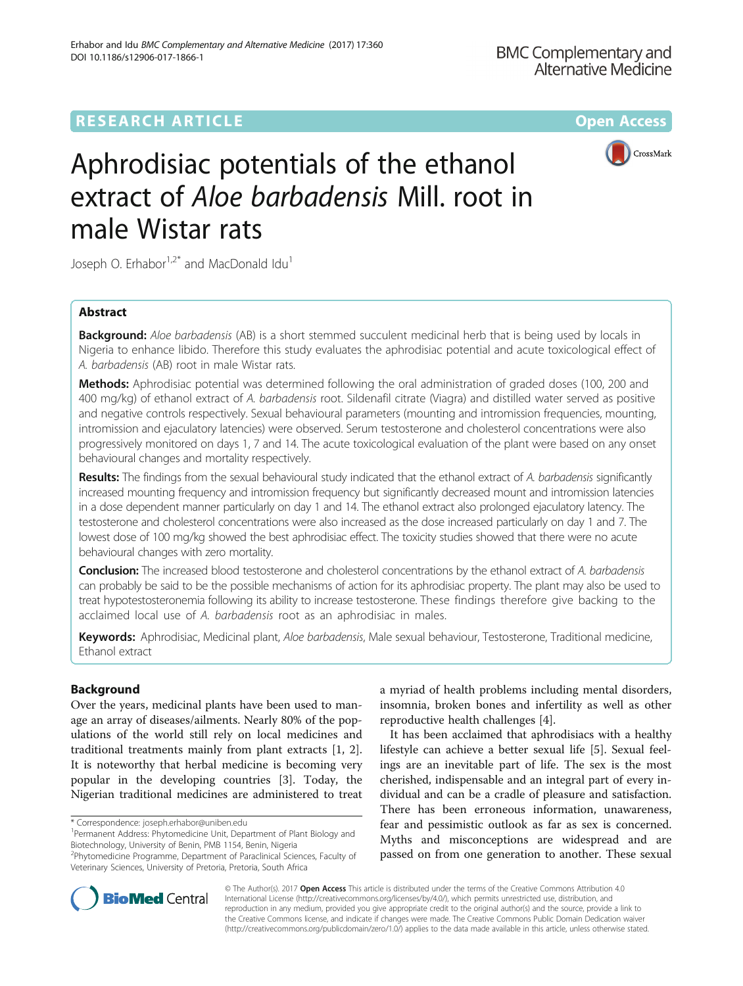## **RESEARCH ARTICLE Example 2014 12:30 The Contract of Contract ACCESS**



# Aphrodisiac potentials of the ethanol extract of Aloe barbadensis Mill. root in male Wistar rats

Joseph O. Erhabor $1.2^*$  and MacDonald Idu<sup>1</sup>

## Abstract

**Background:** Aloe barbadensis (AB) is a short stemmed succulent medicinal herb that is being used by locals in Nigeria to enhance libido. Therefore this study evaluates the aphrodisiac potential and acute toxicological effect of A. barbadensis (AB) root in male Wistar rats.

Methods: Aphrodisiac potential was determined following the oral administration of graded doses (100, 200 and 400 mg/kg) of ethanol extract of A. barbadensis root. Sildenafil citrate (Viagra) and distilled water served as positive and negative controls respectively. Sexual behavioural parameters (mounting and intromission frequencies, mounting, intromission and ejaculatory latencies) were observed. Serum testosterone and cholesterol concentrations were also progressively monitored on days 1, 7 and 14. The acute toxicological evaluation of the plant were based on any onset behavioural changes and mortality respectively.

Results: The findings from the sexual behavioural study indicated that the ethanol extract of A. barbadensis significantly increased mounting frequency and intromission frequency but significantly decreased mount and intromission latencies in a dose dependent manner particularly on day 1 and 14. The ethanol extract also prolonged ejaculatory latency. The testosterone and cholesterol concentrations were also increased as the dose increased particularly on day 1 and 7. The lowest dose of 100 mg/kg showed the best aphrodisiac effect. The toxicity studies showed that there were no acute behavioural changes with zero mortality.

Conclusion: The increased blood testosterone and cholesterol concentrations by the ethanol extract of A. barbadensis can probably be said to be the possible mechanisms of action for its aphrodisiac property. The plant may also be used to treat hypotestosteronemia following its ability to increase testosterone. These findings therefore give backing to the acclaimed local use of A. barbadensis root as an aphrodisiac in males.

Keywords: Aphrodisiac, Medicinal plant, Aloe barbadensis, Male sexual behaviour, Testosterone, Traditional medicine, Ethanol extract

## Background

Over the years, medicinal plants have been used to manage an array of diseases/ailments. Nearly 80% of the populations of the world still rely on local medicines and traditional treatments mainly from plant extracts [\[1](#page-8-0), [2](#page-8-0)]. It is noteworthy that herbal medicine is becoming very popular in the developing countries [[3\]](#page-8-0). Today, the Nigerian traditional medicines are administered to treat

a myriad of health problems including mental disorders, insomnia, broken bones and infertility as well as other reproductive health challenges [\[4](#page-8-0)].

It has been acclaimed that aphrodisiacs with a healthy lifestyle can achieve a better sexual life [\[5](#page-8-0)]. Sexual feelings are an inevitable part of life. The sex is the most cherished, indispensable and an integral part of every individual and can be a cradle of pleasure and satisfaction. There has been erroneous information, unawareness, fear and pessimistic outlook as far as sex is concerned. Myths and misconceptions are widespread and are passed on from one generation to another. These sexual



© The Author(s). 2017 **Open Access** This article is distributed under the terms of the Creative Commons Attribution 4.0 International License [\(http://creativecommons.org/licenses/by/4.0/](http://creativecommons.org/licenses/by/4.0/)), which permits unrestricted use, distribution, and reproduction in any medium, provided you give appropriate credit to the original author(s) and the source, provide a link to the Creative Commons license, and indicate if changes were made. The Creative Commons Public Domain Dedication waiver [\(http://creativecommons.org/publicdomain/zero/1.0/](http://creativecommons.org/publicdomain/zero/1.0/)) applies to the data made available in this article, unless otherwise stated.

<sup>\*</sup> Correspondence: [joseph.erhabor@uniben.edu](mailto:joseph.erhabor@uniben.edu) <sup>1</sup>

<sup>&</sup>lt;sup>1</sup>Permanent Address: Phytomedicine Unit, Department of Plant Biology and Biotechnology, University of Benin, PMB 1154, Benin, Nigeria

<sup>&</sup>lt;sup>2</sup>Phytomedicine Programme, Department of Paraclinical Sciences, Faculty of Veterinary Sciences, University of Pretoria, Pretoria, South Africa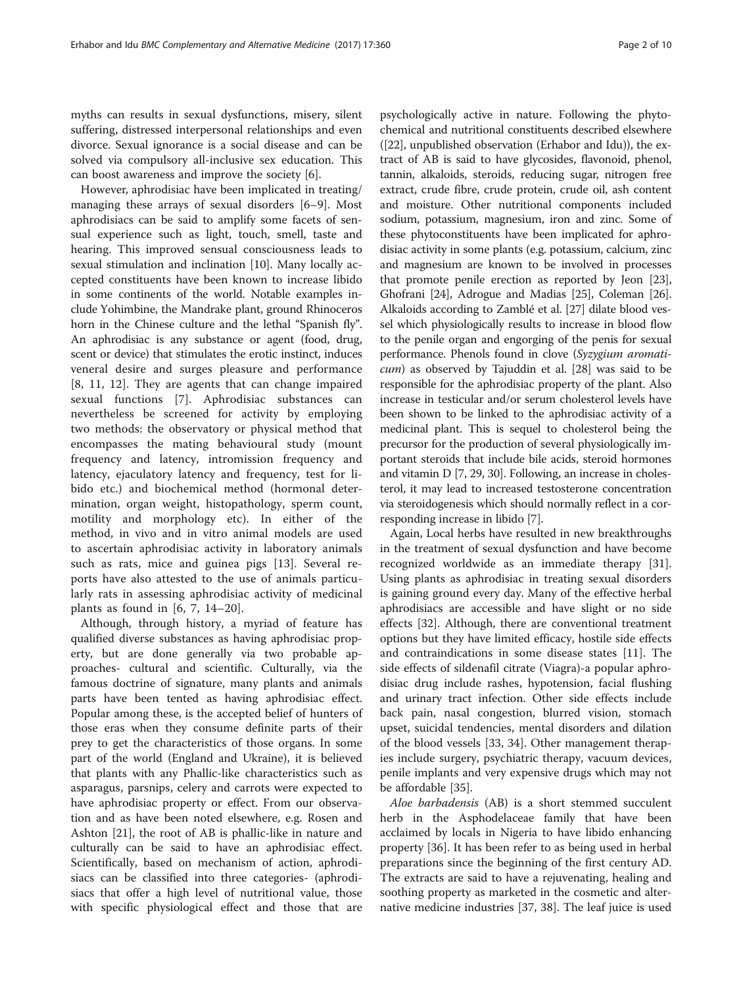myths can results in sexual dysfunctions, misery, silent suffering, distressed interpersonal relationships and even divorce. Sexual ignorance is a social disease and can be solved via compulsory all-inclusive sex education. This can boost awareness and improve the society [\[6](#page-8-0)].

However, aphrodisiac have been implicated in treating/ managing these arrays of sexual disorders [[6](#page-8-0)–[9](#page-8-0)]. Most aphrodisiacs can be said to amplify some facets of sensual experience such as light, touch, smell, taste and hearing. This improved sensual consciousness leads to sexual stimulation and inclination [[10](#page-8-0)]. Many locally accepted constituents have been known to increase libido in some continents of the world. Notable examples include Yohimbine, the Mandrake plant, ground Rhinoceros horn in the Chinese culture and the lethal "Spanish fly". An aphrodisiac is any substance or agent (food, drug, scent or device) that stimulates the erotic instinct, induces veneral desire and surges pleasure and performance [[8, 11](#page-8-0), [12\]](#page-8-0). They are agents that can change impaired sexual functions [\[7](#page-8-0)]. Aphrodisiac substances can nevertheless be screened for activity by employing two methods: the observatory or physical method that encompasses the mating behavioural study (mount frequency and latency, intromission frequency and latency, ejaculatory latency and frequency, test for libido etc.) and biochemical method (hormonal determination, organ weight, histopathology, sperm count, motility and morphology etc). In either of the method, in vivo and in vitro animal models are used to ascertain aphrodisiac activity in laboratory animals such as rats, mice and guinea pigs [[13\]](#page-8-0). Several reports have also attested to the use of animals particularly rats in assessing aphrodisiac activity of medicinal plants as found in  $[6, 7, 14-20]$  $[6, 7, 14-20]$  $[6, 7, 14-20]$  $[6, 7, 14-20]$  $[6, 7, 14-20]$ .

Although, through history, a myriad of feature has qualified diverse substances as having aphrodisiac property, but are done generally via two probable approaches- cultural and scientific. Culturally, via the famous doctrine of signature, many plants and animals parts have been tented as having aphrodisiac effect. Popular among these, is the accepted belief of hunters of those eras when they consume definite parts of their prey to get the characteristics of those organs. In some part of the world (England and Ukraine), it is believed that plants with any Phallic-like characteristics such as asparagus, parsnips, celery and carrots were expected to have aphrodisiac property or effect. From our observation and as have been noted elsewhere, e.g. Rosen and Ashton [\[21\]](#page-8-0), the root of AB is phallic-like in nature and culturally can be said to have an aphrodisiac effect. Scientifically, based on mechanism of action, aphrodisiacs can be classified into three categories- (aphrodisiacs that offer a high level of nutritional value, those with specific physiological effect and those that are

psychologically active in nature. Following the phytochemical and nutritional constituents described elsewhere ([\[22\]](#page-8-0), unpublished observation (Erhabor and Idu)), the extract of AB is said to have glycosides, flavonoid, phenol, tannin, alkaloids, steroids, reducing sugar, nitrogen free extract, crude fibre, crude protein, crude oil, ash content and moisture. Other nutritional components included sodium, potassium, magnesium, iron and zinc. Some of these phytoconstituents have been implicated for aphrodisiac activity in some plants (e.g. potassium, calcium, zinc and magnesium are known to be involved in processes that promote penile erection as reported by Jeon [[23](#page-9-0)], Ghofrani [\[24\]](#page-9-0), Adrogue and Madias [\[25\]](#page-9-0), Coleman [[26](#page-9-0)]. Alkaloids according to Zamblé et al. [[27](#page-9-0)] dilate blood vessel which physiologically results to increase in blood flow to the penile organ and engorging of the penis for sexual performance. Phenols found in clove (Syzygium aromaticum) as observed by Tajuddin et al. [[28](#page-9-0)] was said to be responsible for the aphrodisiac property of the plant. Also increase in testicular and/or serum cholesterol levels have been shown to be linked to the aphrodisiac activity of a medicinal plant. This is sequel to cholesterol being the precursor for the production of several physiologically important steroids that include bile acids, steroid hormones and vitamin D [\[7](#page-8-0), [29](#page-9-0), [30\]](#page-9-0). Following, an increase in cholesterol, it may lead to increased testosterone concentration via steroidogenesis which should normally reflect in a corresponding increase in libido [[7\]](#page-8-0).

Again, Local herbs have resulted in new breakthroughs in the treatment of sexual dysfunction and have become recognized worldwide as an immediate therapy [\[31](#page-9-0)]. Using plants as aphrodisiac in treating sexual disorders is gaining ground every day. Many of the effective herbal aphrodisiacs are accessible and have slight or no side effects [[32\]](#page-9-0). Although, there are conventional treatment options but they have limited efficacy, hostile side effects and contraindications in some disease states [[11](#page-8-0)]. The side effects of sildenafil citrate (Viagra)-a popular aphrodisiac drug include rashes, hypotension, facial flushing and urinary tract infection. Other side effects include back pain, nasal congestion, blurred vision, stomach upset, suicidal tendencies, mental disorders and dilation of the blood vessels [[33, 34\]](#page-9-0). Other management therapies include surgery, psychiatric therapy, vacuum devices, penile implants and very expensive drugs which may not be affordable [[35\]](#page-9-0).

Aloe barbadensis (AB) is a short stemmed succulent herb in the Asphodelaceae family that have been acclaimed by locals in Nigeria to have libido enhancing property [[36](#page-9-0)]. It has been refer to as being used in herbal preparations since the beginning of the first century AD. The extracts are said to have a rejuvenating, healing and soothing property as marketed in the cosmetic and alternative medicine industries [[37](#page-9-0), [38](#page-9-0)]. The leaf juice is used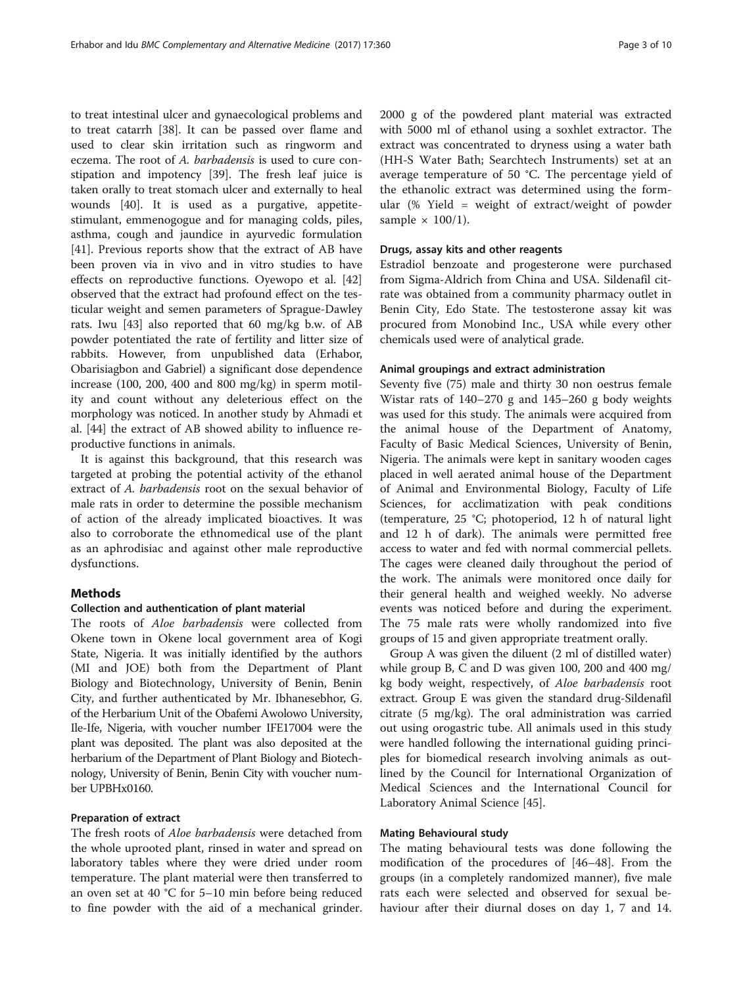to treat intestinal ulcer and gynaecological problems and to treat catarrh [\[38\]](#page-9-0). It can be passed over flame and used to clear skin irritation such as ringworm and eczema. The root of A. barbadensis is used to cure constipation and impotency [\[39](#page-9-0)]. The fresh leaf juice is taken orally to treat stomach ulcer and externally to heal wounds [\[40](#page-9-0)]. It is used as a purgative, appetitestimulant, emmenogogue and for managing colds, piles, asthma, cough and jaundice in ayurvedic formulation [[41\]](#page-9-0). Previous reports show that the extract of AB have been proven via in vivo and in vitro studies to have effects on reproductive functions. Oyewopo et al. [[42](#page-9-0)] observed that the extract had profound effect on the testicular weight and semen parameters of Sprague-Dawley rats. Iwu [[43](#page-9-0)] also reported that 60 mg/kg b.w. of AB powder potentiated the rate of fertility and litter size of rabbits. However, from unpublished data (Erhabor, Obarisiagbon and Gabriel) a significant dose dependence increase (100, 200, 400 and 800 mg/kg) in sperm motility and count without any deleterious effect on the morphology was noticed. In another study by Ahmadi et al. [\[44](#page-9-0)] the extract of AB showed ability to influence reproductive functions in animals.

It is against this background, that this research was targeted at probing the potential activity of the ethanol extract of A. barbadensis root on the sexual behavior of male rats in order to determine the possible mechanism of action of the already implicated bioactives. It was also to corroborate the ethnomedical use of the plant as an aphrodisiac and against other male reproductive dysfunctions.

### Methods

#### Collection and authentication of plant material

The roots of Aloe barbadensis were collected from Okene town in Okene local government area of Kogi State, Nigeria. It was initially identified by the authors (MI and JOE) both from the Department of Plant Biology and Biotechnology, University of Benin, Benin City, and further authenticated by Mr. Ibhanesebhor, G. of the Herbarium Unit of the Obafemi Awolowo University, Ile-Ife, Nigeria, with voucher number IFE17004 were the plant was deposited. The plant was also deposited at the herbarium of the Department of Plant Biology and Biotechnology, University of Benin, Benin City with voucher number UPBHx0160.

#### Preparation of extract

The fresh roots of Aloe barbadensis were detached from the whole uprooted plant, rinsed in water and spread on laboratory tables where they were dried under room temperature. The plant material were then transferred to an oven set at 40 °C for 5–10 min before being reduced to fine powder with the aid of a mechanical grinder. 2000 g of the powdered plant material was extracted with 5000 ml of ethanol using a soxhlet extractor. The extract was concentrated to dryness using a water bath (HH-S Water Bath; Searchtech Instruments) set at an average temperature of 50 °C. The percentage yield of the ethanolic extract was determined using the formular (% Yield = weight of extract/weight of powder sample  $\times$  100/1).

## Drugs, assay kits and other reagents

Estradiol benzoate and progesterone were purchased from Sigma-Aldrich from China and USA. Sildenafil citrate was obtained from a community pharmacy outlet in Benin City, Edo State. The testosterone assay kit was procured from Monobind Inc., USA while every other chemicals used were of analytical grade.

#### Animal groupings and extract administration

Seventy five (75) male and thirty 30 non oestrus female Wistar rats of 140–270 g and 145–260 g body weights was used for this study. The animals were acquired from the animal house of the Department of Anatomy, Faculty of Basic Medical Sciences, University of Benin, Nigeria. The animals were kept in sanitary wooden cages placed in well aerated animal house of the Department of Animal and Environmental Biology, Faculty of Life Sciences, for acclimatization with peak conditions (temperature, 25 °C; photoperiod, 12 h of natural light and 12 h of dark). The animals were permitted free access to water and fed with normal commercial pellets. The cages were cleaned daily throughout the period of the work. The animals were monitored once daily for their general health and weighed weekly. No adverse events was noticed before and during the experiment. The 75 male rats were wholly randomized into five groups of 15 and given appropriate treatment orally.

Group A was given the diluent (2 ml of distilled water) while group B, C and D was given 100, 200 and 400 mg/ kg body weight, respectively, of Aloe barbadensis root extract. Group E was given the standard drug-Sildenafil citrate (5 mg/kg). The oral administration was carried out using orogastric tube. All animals used in this study were handled following the international guiding principles for biomedical research involving animals as outlined by the Council for International Organization of Medical Sciences and the International Council for Laboratory Animal Science [\[45](#page-9-0)].

#### Mating Behavioural study

The mating behavioural tests was done following the modification of the procedures of [\[46](#page-9-0)–[48](#page-9-0)]. From the groups (in a completely randomized manner), five male rats each were selected and observed for sexual behaviour after their diurnal doses on day 1, 7 and 14.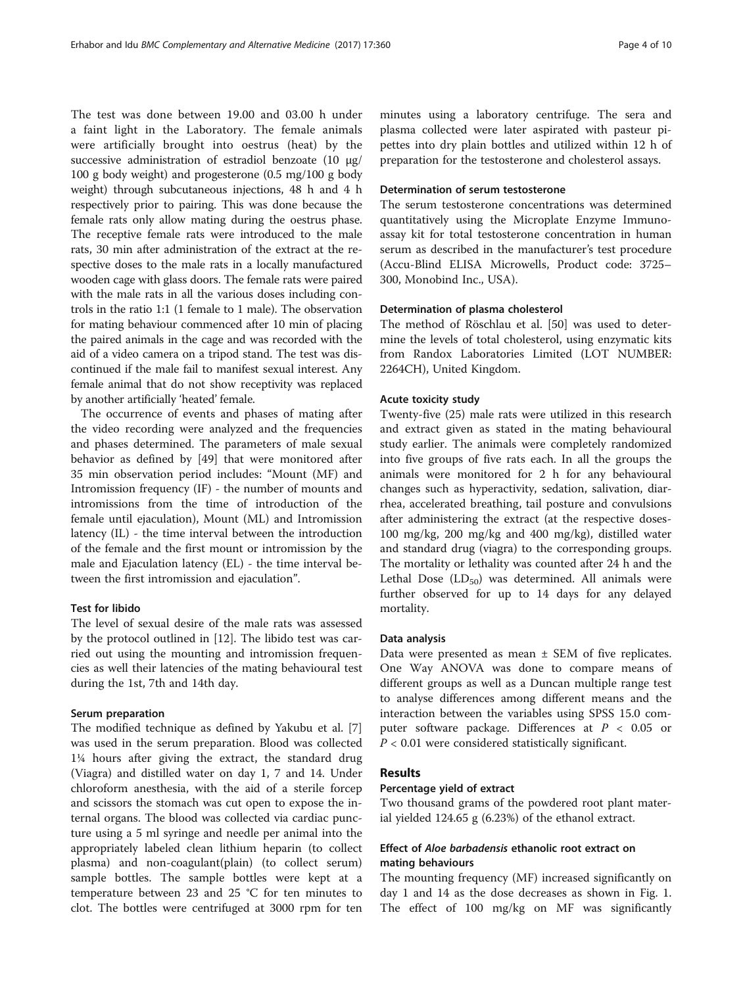The test was done between 19.00 and 03.00 h under a faint light in the Laboratory. The female animals were artificially brought into oestrus (heat) by the successive administration of estradiol benzoate (10  $\mu$ g/ 100 g body weight) and progesterone (0.5 mg/100 g body weight) through subcutaneous injections, 48 h and 4 h respectively prior to pairing. This was done because the female rats only allow mating during the oestrus phase. The receptive female rats were introduced to the male rats, 30 min after administration of the extract at the respective doses to the male rats in a locally manufactured wooden cage with glass doors. The female rats were paired with the male rats in all the various doses including controls in the ratio 1:1 (1 female to 1 male). The observation for mating behaviour commenced after 10 min of placing the paired animals in the cage and was recorded with the aid of a video camera on a tripod stand. The test was discontinued if the male fail to manifest sexual interest. Any female animal that do not show receptivity was replaced by another artificially 'heated' female.

The occurrence of events and phases of mating after the video recording were analyzed and the frequencies and phases determined. The parameters of male sexual behavior as defined by [[49\]](#page-9-0) that were monitored after 35 min observation period includes: "Mount (MF) and Intromission frequency (IF) - the number of mounts and intromissions from the time of introduction of the female until ejaculation), Mount (ML) and Intromission latency (IL) - the time interval between the introduction of the female and the first mount or intromission by the male and Ejaculation latency (EL) - the time interval between the first intromission and ejaculation".

## Test for libido

The level of sexual desire of the male rats was assessed by the protocol outlined in [[12](#page-8-0)]. The libido test was carried out using the mounting and intromission frequencies as well their latencies of the mating behavioural test during the 1st, 7th and 14th day.

## Serum preparation

The modified technique as defined by Yakubu et al. [\[7](#page-8-0)] was used in the serum preparation. Blood was collected 1¼ hours after giving the extract, the standard drug (Viagra) and distilled water on day 1, 7 and 14. Under chloroform anesthesia, with the aid of a sterile forcep and scissors the stomach was cut open to expose the internal organs. The blood was collected via cardiac puncture using a 5 ml syringe and needle per animal into the appropriately labeled clean lithium heparin (to collect plasma) and non-coagulant(plain) (to collect serum) sample bottles. The sample bottles were kept at a temperature between 23 and 25 °C for ten minutes to clot. The bottles were centrifuged at 3000 rpm for ten minutes using a laboratory centrifuge. The sera and plasma collected were later aspirated with pasteur pipettes into dry plain bottles and utilized within 12 h of preparation for the testosterone and cholesterol assays.

#### Determination of serum testosterone

The serum testosterone concentrations was determined quantitatively using the Microplate Enzyme Immunoassay kit for total testosterone concentration in human serum as described in the manufacturer's test procedure (Accu-Blind ELISA Microwells, Product code: 3725– 300, Monobind Inc., USA).

## Determination of plasma cholesterol

The method of Röschlau et al. [\[50](#page-9-0)] was used to determine the levels of total cholesterol, using enzymatic kits from Randox Laboratories Limited (LOT NUMBER: 2264CH), United Kingdom.

#### Acute toxicity study

Twenty-five (25) male rats were utilized in this research and extract given as stated in the mating behavioural study earlier. The animals were completely randomized into five groups of five rats each. In all the groups the animals were monitored for 2 h for any behavioural changes such as hyperactivity, sedation, salivation, diarrhea, accelerated breathing, tail posture and convulsions after administering the extract (at the respective doses-100 mg/kg, 200 mg/kg and 400 mg/kg), distilled water and standard drug (viagra) to the corresponding groups. The mortality or lethality was counted after 24 h and the Lethal Dose  $(LD_{50})$  was determined. All animals were further observed for up to 14 days for any delayed mortality.

#### Data analysis

Data were presented as mean  $\pm$  SEM of five replicates. One Way ANOVA was done to compare means of different groups as well as a Duncan multiple range test to analyse differences among different means and the interaction between the variables using SPSS 15.0 computer software package. Differences at  $P < 0.05$  or  $P < 0.01$  were considered statistically significant.

## Results

## Percentage yield of extract

Two thousand grams of the powdered root plant material yielded 124.65 g (6.23%) of the ethanol extract.

## Effect of Aloe barbadensis ethanolic root extract on mating behaviours

The mounting frequency (MF) increased significantly on day 1 and 14 as the dose decreases as shown in Fig. [1](#page-4-0). The effect of 100 mg/kg on MF was significantly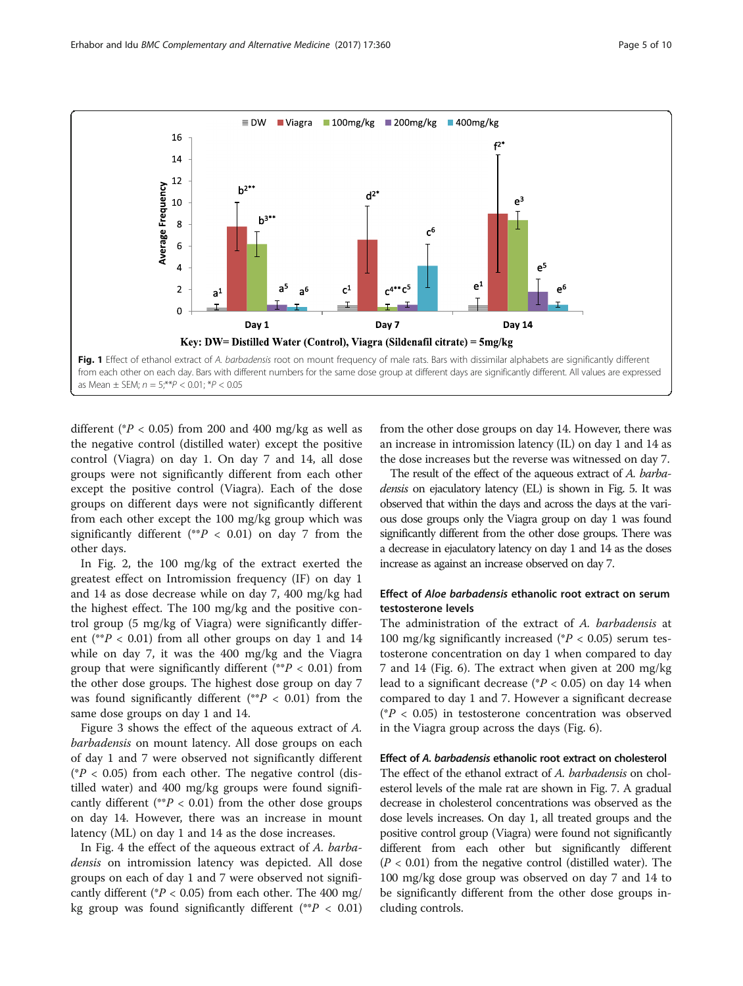<span id="page-4-0"></span>

different ( $P < 0.05$ ) from 200 and 400 mg/kg as well as the negative control (distilled water) except the positive control (Viagra) on day 1. On day 7 and 14, all dose groups were not significantly different from each other except the positive control (Viagra). Each of the dose groups on different days were not significantly different from each other except the 100 mg/kg group which was significantly different (\*\* $P$  < 0.01) on day 7 from the other days.

In Fig. [2,](#page-5-0) the 100 mg/kg of the extract exerted the greatest effect on Intromission frequency (IF) on day 1 and 14 as dose decrease while on day 7, 400 mg/kg had the highest effect. The 100 mg/kg and the positive control group (5 mg/kg of Viagra) were significantly different (\*\* $P$  < 0.01) from all other groups on day 1 and 14 while on day 7, it was the 400 mg/kg and the Viagra group that were significantly different (\*\* $P < 0.01$ ) from the other dose groups. The highest dose group on day 7 was found significantly different (\*\* $P < 0.01$ ) from the same dose groups on day 1 and 14.

Figure [3](#page-5-0) shows the effect of the aqueous extract of A. barbadensis on mount latency. All dose groups on each of day 1 and 7 were observed not significantly different ( $P < 0.05$ ) from each other. The negative control (distilled water) and 400 mg/kg groups were found significantly different (\*\* $P < 0.01$ ) from the other dose groups on day 14. However, there was an increase in mount latency (ML) on day 1 and 14 as the dose increases.

In Fig. [4](#page-6-0) the effect of the aqueous extract of A. barbadensis on intromission latency was depicted. All dose groups on each of day 1 and 7 were observed not significantly different ( $P < 0.05$ ) from each other. The 400 mg/ kg group was found significantly different (\*\* $P < 0.01$ )

from the other dose groups on day 14. However, there was an increase in intromission latency (IL) on day 1 and 14 as the dose increases but the reverse was witnessed on day 7.

The result of the effect of the aqueous extract of A. barbadensis on ejaculatory latency (EL) is shown in Fig. [5](#page-6-0). It was observed that within the days and across the days at the various dose groups only the Viagra group on day 1 was found significantly different from the other dose groups. There was a decrease in ejaculatory latency on day 1 and 14 as the doses increase as against an increase observed on day 7.

## Effect of Aloe barbadensis ethanolic root extract on serum testosterone levels

The administration of the extract of A. barbadensis at 100 mg/kg significantly increased ( $P < 0.05$ ) serum testosterone concentration on day 1 when compared to day 7 and 14 (Fig. [6\)](#page-7-0). The extract when given at 200 mg/kg lead to a significant decrease ( $P < 0.05$ ) on day 14 when compared to day 1 and 7. However a significant decrease ( $P < 0.05$ ) in testosterone concentration was observed in the Viagra group across the days (Fig. [6\)](#page-7-0).

#### Effect of A. barbadensis ethanolic root extract on cholesterol

The effect of the ethanol extract of A. barbadensis on cholesterol levels of the male rat are shown in Fig. [7.](#page-7-0) A gradual decrease in cholesterol concentrations was observed as the dose levels increases. On day 1, all treated groups and the positive control group (Viagra) were found not significantly different from each other but significantly different  $(P < 0.01)$  from the negative control (distilled water). The 100 mg/kg dose group was observed on day 7 and 14 to be significantly different from the other dose groups including controls.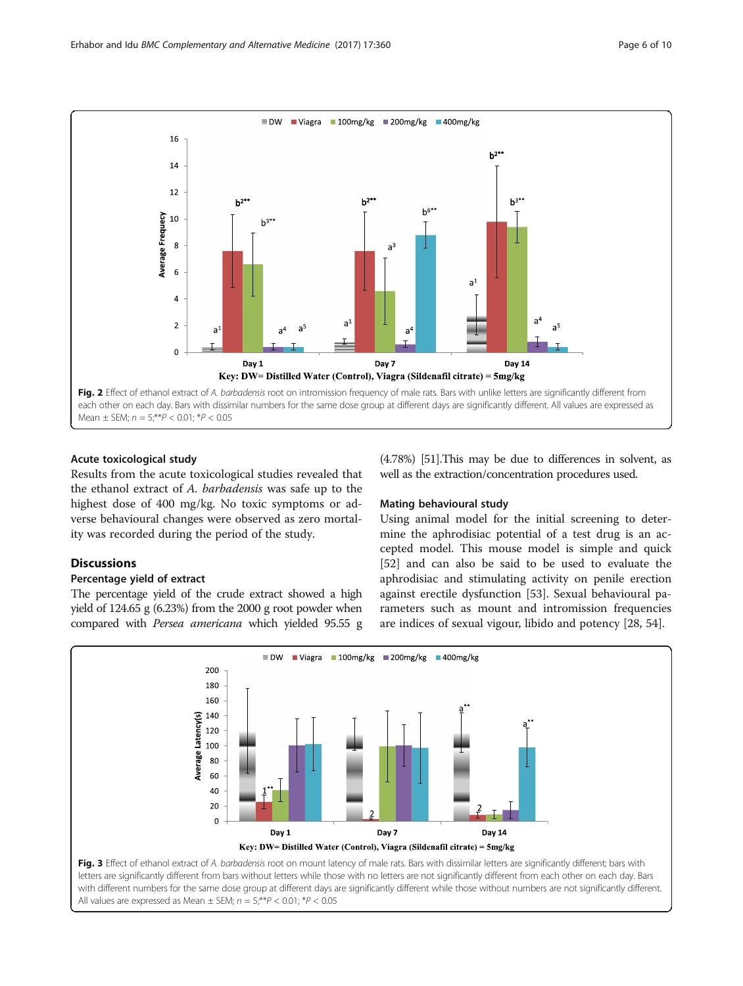<span id="page-5-0"></span>

## Acute toxicological study

Results from the acute toxicological studies revealed that the ethanol extract of A. barbadensis was safe up to the highest dose of 400 mg/kg. No toxic symptoms or adverse behavioural changes were observed as zero mortality was recorded during the period of the study.

## **Discussions**

## Percentage yield of extract

The percentage yield of the crude extract showed a high yield of 124.65 g (6.23%) from the 2000 g root powder when compared with Persea americana which yielded 95.55 g (4.78%) [\[51\]](#page-9-0).This may be due to differences in solvent, as well as the extraction/concentration procedures used.

#### Mating behavioural study

Using animal model for the initial screening to determine the aphrodisiac potential of a test drug is an accepted model. This mouse model is simple and quick [[52\]](#page-9-0) and can also be said to be used to evaluate the aphrodisiac and stimulating activity on penile erection against erectile dysfunction [\[53\]](#page-9-0). Sexual behavioural parameters such as mount and intromission frequencies are indices of sexual vigour, libido and potency [\[28, 54\]](#page-9-0).



letters are significantly different from bars without letters while those with no letters are not significantly different from each other on each day. Bars with different numbers for the same dose group at different days are significantly different while those without numbers are not significantly different. All values are expressed as Mean  $\pm$  SEM;  $n = 5$ ;\*\* $P < 0.01$ ; \* $P < 0.05$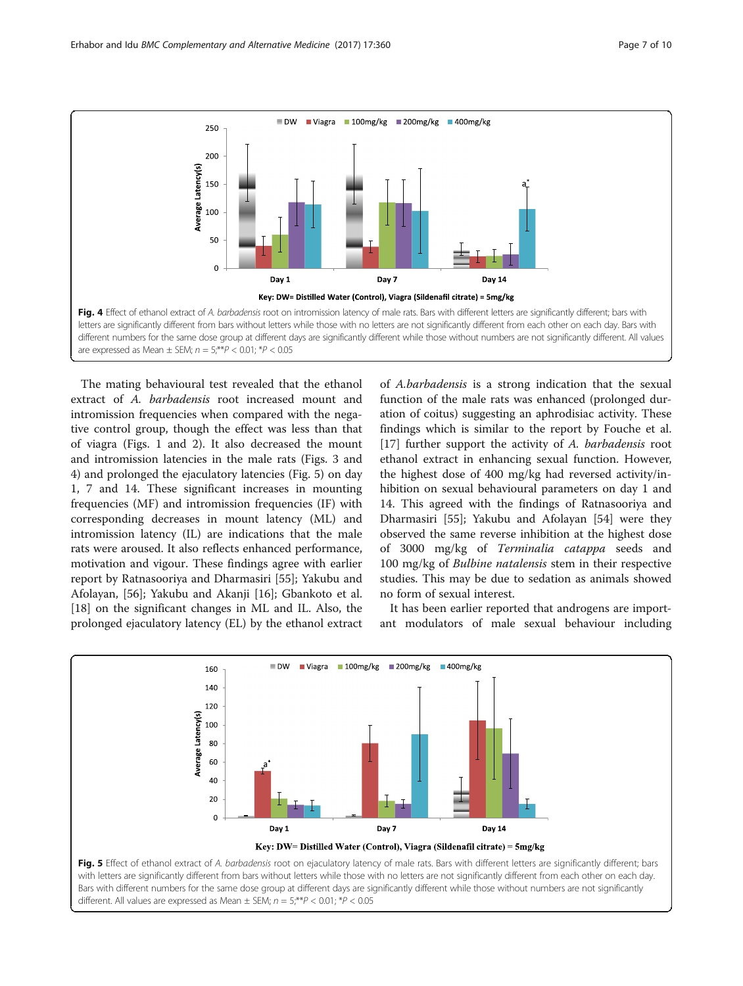<span id="page-6-0"></span>

The mating behavioural test revealed that the ethanol extract of A. barbadensis root increased mount and intromission frequencies when compared with the negative control group, though the effect was less than that of viagra (Figs. [1](#page-4-0) and [2](#page-5-0)). It also decreased the mount and intromission latencies in the male rats (Figs. [3](#page-5-0) and 4) and prolonged the ejaculatory latencies (Fig. 5) on day 1, 7 and 14. These significant increases in mounting frequencies (MF) and intromission frequencies (IF) with corresponding decreases in mount latency (ML) and intromission latency (IL) are indications that the male rats were aroused. It also reflects enhanced performance, motivation and vigour. These findings agree with earlier report by Ratnasooriya and Dharmasiri [[55](#page-9-0)]; Yakubu and Afolayan, [[56\]](#page-9-0); Yakubu and Akanji [\[16\]](#page-8-0); Gbankoto et al. [[18\]](#page-8-0) on the significant changes in ML and IL. Also, the prolonged ejaculatory latency (EL) by the ethanol extract

of A.barbadensis is a strong indication that the sexual function of the male rats was enhanced (prolonged duration of coitus) suggesting an aphrodisiac activity. These findings which is similar to the report by Fouche et al. [[17\]](#page-8-0) further support the activity of A. barbadensis root ethanol extract in enhancing sexual function. However, the highest dose of 400 mg/kg had reversed activity/inhibition on sexual behavioural parameters on day 1 and 14. This agreed with the findings of Ratnasooriya and Dharmasiri [[55\]](#page-9-0); Yakubu and Afolayan [[54\]](#page-9-0) were they observed the same reverse inhibition at the highest dose of 3000 mg/kg of Terminalia catappa seeds and 100 mg/kg of Bulbine natalensis stem in their respective studies. This may be due to sedation as animals showed no form of sexual interest.

It has been earlier reported that androgens are important modulators of male sexual behaviour including

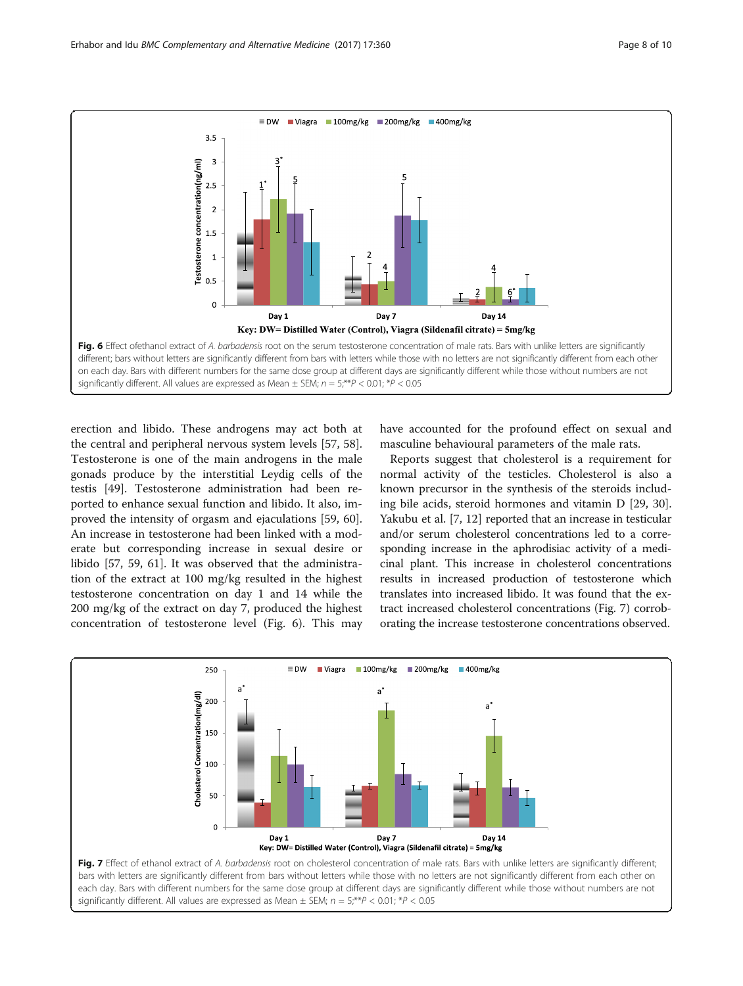<span id="page-7-0"></span>

erection and libido. These androgens may act both at the central and peripheral nervous system levels [[57](#page-9-0), [58](#page-9-0)]. Testosterone is one of the main androgens in the male gonads produce by the interstitial Leydig cells of the testis [[49\]](#page-9-0). Testosterone administration had been reported to enhance sexual function and libido. It also, improved the intensity of orgasm and ejaculations [\[59, 60](#page-9-0)]. An increase in testosterone had been linked with a moderate but corresponding increase in sexual desire or libido [[57, 59](#page-9-0), [61](#page-9-0)]. It was observed that the administration of the extract at 100 mg/kg resulted in the highest testosterone concentration on day 1 and 14 while the 200 mg/kg of the extract on day 7, produced the highest concentration of testosterone level (Fig. 6). This may

have accounted for the profound effect on sexual and masculine behavioural parameters of the male rats.

Reports suggest that cholesterol is a requirement for normal activity of the testicles. Cholesterol is also a known precursor in the synthesis of the steroids including bile acids, steroid hormones and vitamin D [[29, 30](#page-9-0)]. Yakubu et al. [[7, 12](#page-8-0)] reported that an increase in testicular and/or serum cholesterol concentrations led to a corresponding increase in the aphrodisiac activity of a medicinal plant. This increase in cholesterol concentrations results in increased production of testosterone which translates into increased libido. It was found that the extract increased cholesterol concentrations (Fig. 7) corroborating the increase testosterone concentrations observed.

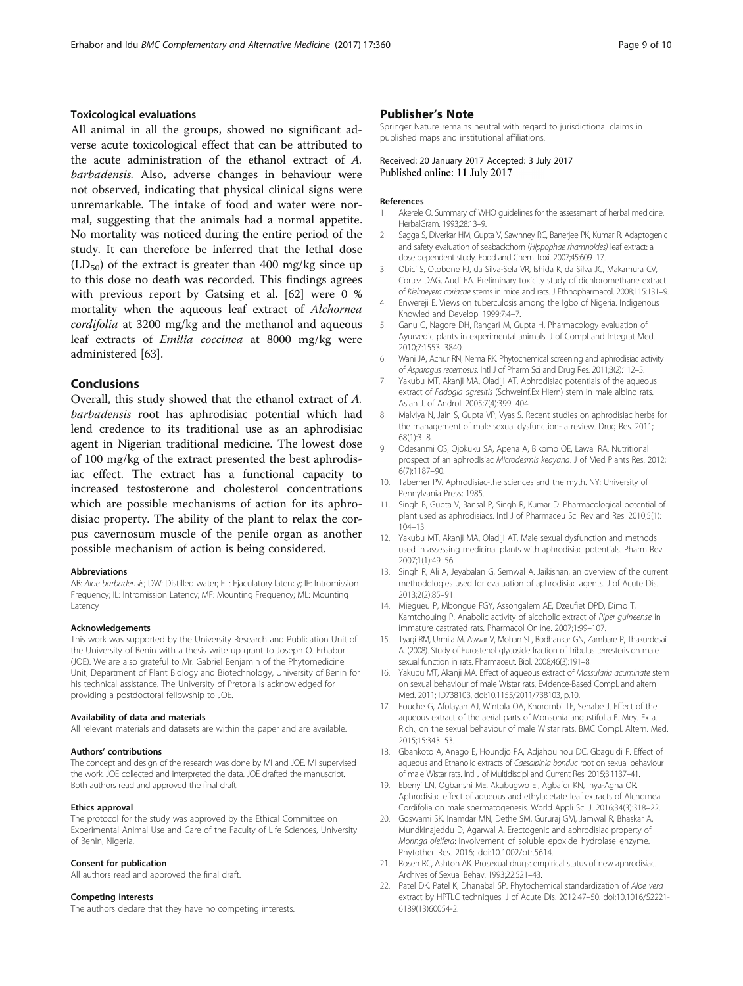## <span id="page-8-0"></span>Toxicological evaluations

All animal in all the groups, showed no significant adverse acute toxicological effect that can be attributed to the acute administration of the ethanol extract of A. barbadensis. Also, adverse changes in behaviour were not observed, indicating that physical clinical signs were unremarkable. The intake of food and water were normal, suggesting that the animals had a normal appetite. No mortality was noticed during the entire period of the study. It can therefore be inferred that the lethal dose  $(LD_{50})$  of the extract is greater than 400 mg/kg since up to this dose no death was recorded. This findings agrees with previous report by Gatsing et al. [\[62\]](#page-9-0) were 0 % mortality when the aqueous leaf extract of Alchornea cordifolia at 3200 mg/kg and the methanol and aqueous leaf extracts of Emilia coccinea at 8000 mg/kg were administered [[63\]](#page-9-0).

### Conclusions

Overall, this study showed that the ethanol extract of A. barbadensis root has aphrodisiac potential which had lend credence to its traditional use as an aphrodisiac agent in Nigerian traditional medicine. The lowest dose of 100 mg/kg of the extract presented the best aphrodisiac effect. The extract has a functional capacity to increased testosterone and cholesterol concentrations which are possible mechanisms of action for its aphrodisiac property. The ability of the plant to relax the corpus cavernosum muscle of the penile organ as another possible mechanism of action is being considered.

#### Abbreviations

AB: Aloe barbadensis; DW: Distilled water; EL: Ejaculatory latency; IF: Intromission Frequency; IL: Intromission Latency; MF: Mounting Frequency; ML: Mounting **Latency** 

#### Acknowledgements

This work was supported by the University Research and Publication Unit of the University of Benin with a thesis write up grant to Joseph O. Erhabor (JOE). We are also grateful to Mr. Gabriel Benjamin of the Phytomedicine Unit, Department of Plant Biology and Biotechnology, University of Benin for his technical assistance. The University of Pretoria is acknowledged for providing a postdoctoral fellowship to JOE.

#### Availability of data and materials

All relevant materials and datasets are within the paper and are available.

#### Authors' contributions

The concept and design of the research was done by MI and JOE. MI supervised the work. JOE collected and interpreted the data. JOE drafted the manuscript. Both authors read and approved the final draft.

#### Ethics approval

The protocol for the study was approved by the Ethical Committee on Experimental Animal Use and Care of the Faculty of Life Sciences, University of Benin, Nigeria.

#### Consent for publication

All authors read and approved the final draft.

#### Competing interests

The authors declare that they have no competing interests.

#### Publisher's Note

Springer Nature remains neutral with regard to jurisdictional claims in published maps and institutional affiliations.

#### Received: 20 January 2017 Accepted: 3 July 2017 Published online: 11 July 2017

#### References

- 1. Akerele O. Summary of WHO guidelines for the assessment of herbal medicine. HerbalGram. 1993;28:13–9.
- 2. Sagga S, Diverkar HM, Gupta V, Sawhney RC, Banerjee PK, Kumar R. Adaptogenic and safety evaluation of seabackthorn (Hippophae rhamnoides) leaf extract: a dose dependent study. Food and Chem Toxi. 2007;45:609–17.
- 3. Obici S, Otobone FJ, da Silva-Sela VR, Ishida K, da Silva JC, Makamura CV, Cortez DAG, Audi EA. Preliminary toxicity study of dichloromethane extract of Kielmeyera coriacae stems in mice and rats. J Ethnopharmacol. 2008;115:131–9.
- 4. Enwereji E. Views on tuberculosis among the Igbo of Nigeria. Indigenous Knowled and Develop. 1999;7:4–7.
- 5. Ganu G, Nagore DH, Rangari M, Gupta H. Pharmacology evaluation of Ayurvedic plants in experimental animals. J of Compl and Integrat Med. 2010;7:1553–3840.
- 6. Wani JA, Achur RN, Nema RK. Phytochemical screening and aphrodisiac activity of Asparagus recemosus. Intl J of Pharm Sci and Drug Res. 2011;3(2):112–5.
- 7. Yakubu MT, Akanji MA, Oladiji AT. Aphrodisiac potentials of the aqueous extract of Fadogia agresitis (Schweinf.Ex Hiern) stem in male albino rats. Asian J. of Androl. 2005;7(4):399–404.
- 8. Malviya N, Jain S, Gupta VP, Vyas S. Recent studies on aphrodisiac herbs for the management of male sexual dysfunction- a review. Drug Res. 2011; 68(1):3–8.
- 9. Odesanmi OS, Ojokuku SA, Apena A, Bikomo OE, Lawal RA. Nutritional prospect of an aphrodisiac Microdesmis keayana. J of Med Plants Res. 2012; 6(7):1187–90.
- 10. Taberner PV. Aphrodisiac-the sciences and the myth. NY: University of Pennylvania Press; 1985.
- 11. Singh B, Gupta V, Bansal P, Singh R, Kumar D. Pharmacological potential of plant used as aphrodisiacs. Intl J of Pharmaceu Sci Rev and Res. 2010;5(1): 104–13.
- 12. Yakubu MT, Akanji MA, Oladiji AT. Male sexual dysfunction and methods used in assessing medicinal plants with aphrodisiac potentials. Pharm Rev. 2007;1(1):49–56.
- 13. Singh R, Ali A, Jeyabalan G, Semwal A. Jaikishan, an overview of the current methodologies used for evaluation of aphrodisiac agents. J of Acute Dis. 2013;2(2):85–91.
- 14. Miegueu P, Mbongue FGY, Assongalem AE, Dzeufiet DPD, Dimo T, Kamtchouing P. Anabolic activity of alcoholic extract of Piper guineense in immature castrated rats. Pharmacol Online. 2007;1:99–107.
- 15. Tyagi RM, Urmila M, Aswar V, Mohan SL, Bodhankar GN, Zambare P, Thakurdesai A. (2008). Study of Furostenol glycoside fraction of Tribulus terresteris on male sexual function in rats. Pharmaceut. Biol. 2008;46(3):191-8.
- 16. Yakubu MT, Akanji MA. Effect of aqueous extract of Massularia acuminate stem on sexual behaviour of male Wistar rats, Evidence-Based Compl. and altern Med. 2011; ID738103, doi[:10.1155/2011/738103](http://dx.doi.org/10.1155/2011/738103), p.10.
- 17. Fouche G, Afolayan AJ, Wintola OA, Khorombi TE, Senabe J. Effect of the aqueous extract of the aerial parts of Monsonia angustifolia E. Mey. Ex a. Rich., on the sexual behaviour of male Wistar rats. BMC Compl. Altern. Med. 2015;15:343–53.
- 18. Gbankoto A, Anago E, Houndjo PA, Adjahouinou DC, Gbaguidi F. Effect of aqueous and Ethanolic extracts of Caesalpinia bonduc root on sexual behaviour of male Wistar rats. Intl J of Multidiscipl and Current Res. 2015;3:1137–41.
- 19. Ebenyi LN, Ogbanshi ME, Akubugwo EI, Agbafor KN, Inya-Agha OR. Aphrodisiac effect of aqueous and ethylacetate leaf extracts of Alchornea Cordifolia on male spermatogenesis. World Appli Sci J. 2016;34(3):318–22.
- 20. Goswami SK, Inamdar MN, Dethe SM, Gururaj GM, Jamwal R, Bhaskar A, Mundkinajeddu D, Agarwal A. Erectogenic and aphrodisiac property of Moringa oleifera: involvement of soluble epoxide hydrolase enzyme. Phytother Res. 2016; doi:[10.1002/ptr.5614](http://dx.doi.org/10.1002/ptr.5614).
- 21. Rosen RC, Ashton AK. Prosexual drugs: empirical status of new aphrodisiac. Archives of Sexual Behav. 1993;22:521–43.
- 22. Patel DK, Patel K, Dhanabal SP. Phytochemical standardization of Aloe vera extract by HPTLC techniques. J of Acute Dis. 2012:47–50. doi[:10.1016/S2221-](http://dx.doi.org/10.1016/S2221-6189(13)60054-2) [6189\(13\)60054-2](http://dx.doi.org/10.1016/S2221-6189(13)60054-2).